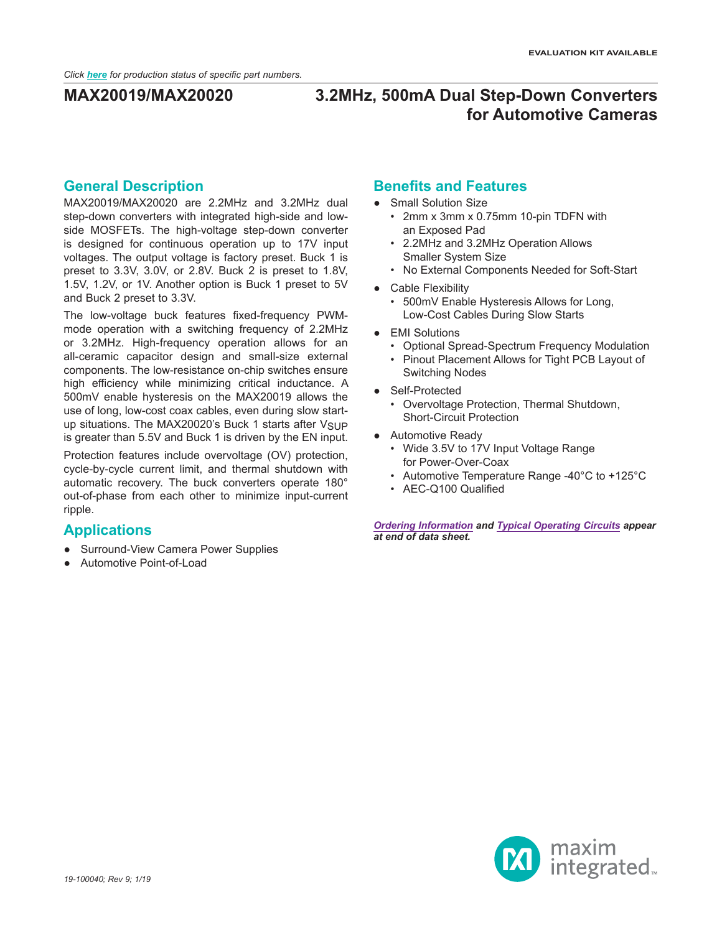### **General Description**

MAX20019/MAX20020 are 2.2MHz and 3.2MHz dual step-down converters with integrated high-side and lowside MOSFETs. The high-voltage step-down converter is designed for continuous operation up to 17V input voltages. The output voltage is factory preset. Buck 1 is preset to 3.3V, 3.0V, or 2.8V. Buck 2 is preset to 1.8V, 1.5V, 1.2V, or 1V. Another option is Buck 1 preset to 5V and Buck 2 preset to 3.3V.

The low-voltage buck features fixed-frequency PWMmode operation with a switching frequency of 2.2MHz or 3.2MHz. High-frequency operation allows for an all-ceramic capacitor design and small-size external components. The low-resistance on-chip switches ensure high efficiency while minimizing critical inductance. A 500mV enable hysteresis on the MAX20019 allows the use of long, low-cost coax cables, even during slow startup situations. The MAX20020's Buck 1 starts after VSUP is greater than 5.5V and Buck 1 is driven by the EN input.

Protection features include overvoltage (OV) protection, cycle-by-cycle current limit, and thermal shutdown with automatic recovery. The buck converters operate 180° out-of-phase from each other to minimize input-current ripple.

### **Applications**

- Surround-View Camera Power Supplies
- Automotive Point-of-Load

## **Benefits and Features**

- Small Solution Size
	- 2mm x 3mm x 0.75mm 10-pin TDFN with an Exposed Pad
	- 2.2MHz and 3.2MHz Operation Allows Smaller System Size
	- No External Components Needed for Soft-Start
- Cable Flexibility
	- 500mV Enable Hysteresis Allows for Long, Low-Cost Cables During Slow Starts
- EMI Solutions
	- Optional Spread-Spectrum Frequency Modulation
	- Pinout Placement Allows for Tight PCB Layout of Switching Nodes
- Self-Protected
	- Overvoltage Protection, Thermal Shutdown, Short-Circuit Protection
- Automotive Ready
	- Wide 3.5V to 17V Input Voltage Range for Power-Over-Coax
	- Automotive Temperature Range -40°C to +125°C
	- AEC-Q100 Qualified

*[Ordering Information](#page-16-0) and [Typical Operating Circuit](#page-14-0)s appear at end of data sheet.*

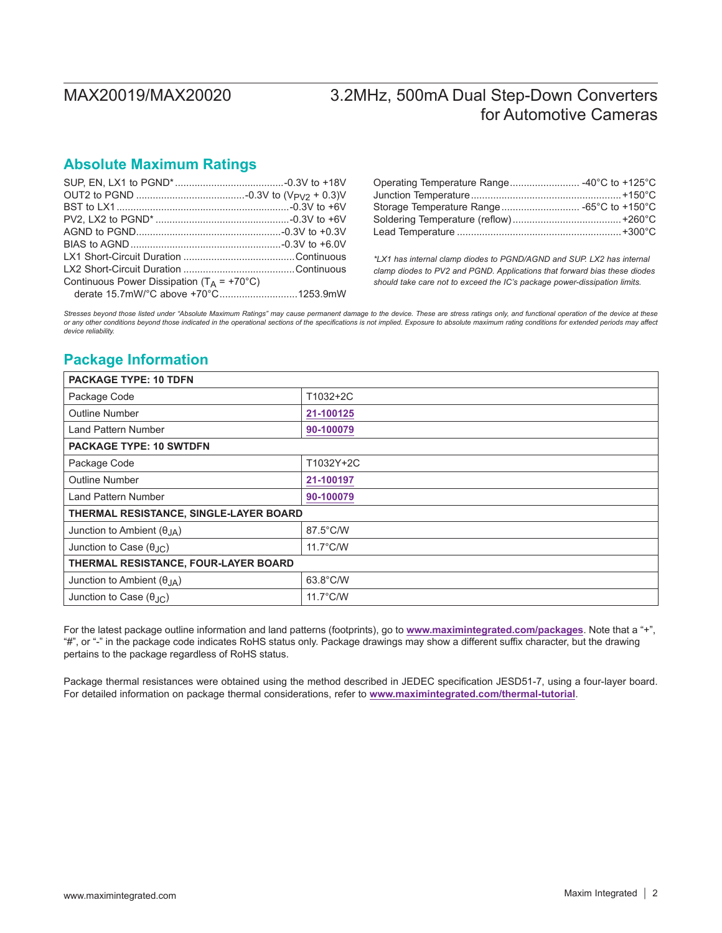## **Absolute Maximum Ratings**

| Continuous Power Dissipation ( $T_A$ = +70°C) |
|-----------------------------------------------|
|                                               |
|                                               |

| Operating Temperature Range -40°C to +125°C |  |
|---------------------------------------------|--|
|                                             |  |
| Storage Temperature Range -65°C to +150°C   |  |
|                                             |  |
|                                             |  |

*\*LX1 has internal clamp diodes to PGND/AGND and SUP. LX2 has internal clamp diodes to PV2 and PGND. Applications that forward bias these diodes should take care not to exceed the IC's package power-dissipation limits.*

*Stresses beyond those listed under "Absolute Maximum Ratings" may cause permanent damage to the device. These are stress ratings only, and functional operation of the device at these*  or any other conditions beyond those indicated in the operational sections of the specifications is not implied. Exposure to absolute maximum rating conditions for extended periods may affect<br>device reliability.

## <span id="page-1-0"></span>**Package Information**

| <b>PACKAGE TYPE: 10 TDFN</b>            |                    |
|-----------------------------------------|--------------------|
| Package Code                            | T1032+2C           |
| <b>Outline Number</b>                   | 21-100125          |
| <b>Land Pattern Number</b>              | 90-100079          |
| <b>PACKAGE TYPE: 10 SWTDFN</b>          |                    |
| Package Code                            | T1032Y+2C          |
| <b>Outline Number</b>                   | 21-100197          |
| <b>Land Pattern Number</b>              | 90-100079          |
| THERMAL RESISTANCE, SINGLE-LAYER BOARD  |                    |
| Junction to Ambient $(\theta_{JA})$     | 87.5°C/W           |
| Junction to Case $(\theta_{\text{JC}})$ | $11.7^{\circ}$ C/W |
| THERMAL RESISTANCE, FOUR-LAYER BOARD    |                    |
| Junction to Ambient $(\theta_{JA})$     | 63.8°C/W           |
| Junction to Case $(\theta_{JC})$        | $11.7^{\circ}$ C/W |

For the latest package outline information and land patterns (footprints), go to **www.maximintegrated.com/packages**. Note that a "+", "#", or "-" in the package code indicates RoHS status only. Package drawings may show a different suffix character, but the drawing pertains to the package regardless of RoHS status.

Package thermal resistances were obtained using the method described in JEDEC specification JESD51-7, using a four-layer board. For detailed information on package thermal considerations, refer to **[www.maximintegrated.com/thermal-tutorial](http://www.maximintegrated.com/thermal-tutorial)**.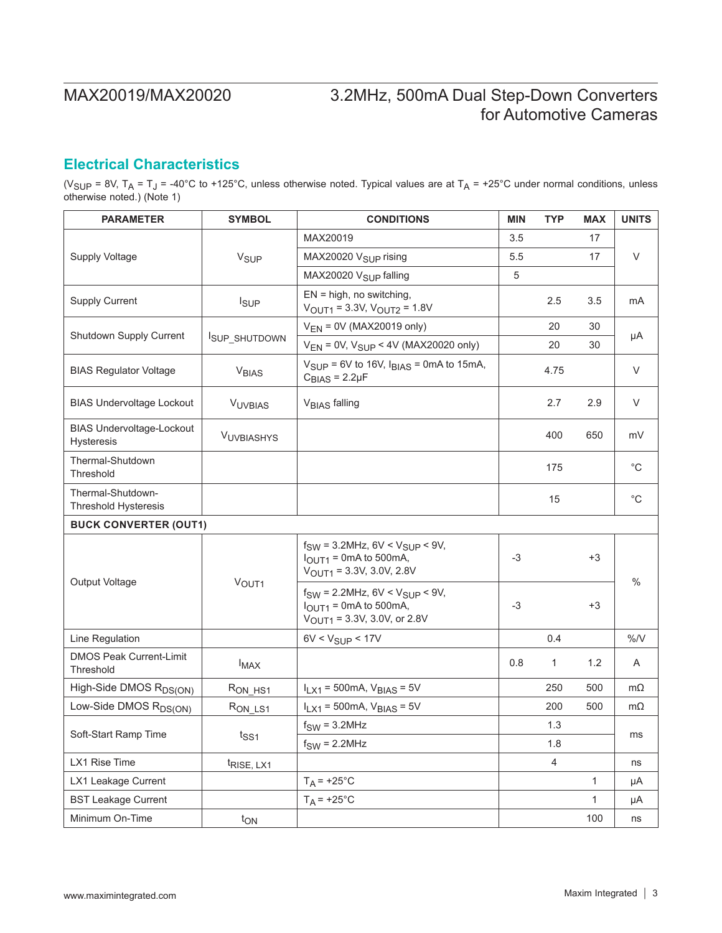## <span id="page-2-0"></span>**Electrical Characteristics**

(V<sub>SUP</sub> = 8V, T<sub>A</sub> = T<sub>J</sub> = -40°C to +125°C, unless otherwise noted. Typical values are at T<sub>A</sub> = +25°C under normal conditions, unless otherwise noted.) (Note 1)

| <b>PARAMETER</b>                                 | <b>SYMBOL</b>           | <b>CONDITIONS</b>                                                                                                      | <b>MIN</b> | <b>TYP</b>     | <b>MAX</b>   | <b>UNITS</b> |  |
|--------------------------------------------------|-------------------------|------------------------------------------------------------------------------------------------------------------------|------------|----------------|--------------|--------------|--|
|                                                  |                         | MAX20019                                                                                                               | 3.5        |                | 17           |              |  |
| <b>Supply Voltage</b>                            | <b>V<sub>SUP</sub></b>  | MAX20020 V <sub>SUP</sub> rising                                                                                       | 5.5        |                | 17           | V            |  |
|                                                  |                         | MAX20020 V <sub>SUP</sub> falling                                                                                      | 5          |                |              |              |  |
| <b>Supply Current</b>                            | <b>I</b> <sub>SUP</sub> | $EN = high$ , no switching,<br>$V_{\text{OUT1}} = 3.3V, V_{\text{OUT2}} = 1.8V$                                        |            | 2.5            | 3.5          | mA           |  |
| Shutdown Supply Current                          |                         | $V_{FN}$ = 0V (MAX20019 only)                                                                                          |            | 20             | 30           |              |  |
|                                                  | ISUP_SHUTDOWN           | $V_{EN}$ = 0V, $V_{SUP}$ < 4V (MAX20020 only)                                                                          |            | 20             | 30           | μA           |  |
| <b>BIAS Regulator Voltage</b>                    | <b>V<sub>BIAS</sub></b> | $V_{SIJP}$ = 6V to 16V, $I_{BIAS}$ = 0mA to 15mA,<br>$C_{\text{BIAS}}$ = 2.2µF                                         |            | 4.75           |              | V            |  |
| <b>BIAS Undervoltage Lockout</b>                 | <b>VUVBIAS</b>          | V <sub>BIAS</sub> falling                                                                                              |            | 2.7            | 2.9          | V            |  |
| <b>BIAS Undervoltage-Lockout</b><br>Hysteresis   | <b>VUVBIASHYS</b>       |                                                                                                                        |            | 400            | 650          | mV           |  |
| Thermal-Shutdown<br>Threshold                    |                         |                                                                                                                        |            | 175            |              | $^{\circ}C$  |  |
| Thermal-Shutdown-<br><b>Threshold Hysteresis</b> |                         |                                                                                                                        |            | 15             |              | $^{\circ}C$  |  |
| <b>BUCK CONVERTER (OUT1)</b>                     |                         |                                                                                                                        |            |                |              |              |  |
|                                                  |                         | $f_{SW}$ = 3.2MHz, 6V < $V_{SUP}$ < 9V,<br>$IOUT1 = 0mA$ to 500mA,<br>$V_{\text{OUT1}} = 3.3V, 3.0V, 2.8V$             | $-3$       |                | $+3$         | $\%$         |  |
| Output Voltage                                   | V <sub>OUT1</sub>       | $f_{SW}$ = 2.2MHz, 6V < $V_{SUP}$ < 9V,<br>$IOUT1 = 0mA$ to 500mA,<br>$V_{\text{OUT1}} = 3.3V, 3.0V, \text{ or } 2.8V$ | $-3$       |                | $+3$         |              |  |
| Line Regulation                                  |                         | $6V < V_{SUP} < 17V$                                                                                                   |            | 0.4            |              | $%$ /V       |  |
| <b>DMOS Peak Current-Limit</b><br>Threshold      | $I_{MAX}$               |                                                                                                                        | 0.8        | 1              | 1.2          | A            |  |
| High-Side DMOS R <sub>DS(ON)</sub>               | R <sub>ON_HS1</sub>     | $I_{LX1}$ = 500mA, $V_{BIAS}$ = 5V                                                                                     |            | 250            | 500          | mΩ           |  |
| Low-Side DMOS R <sub>DS(ON)</sub>                | R <sub>ON LS1</sub>     | $I_{LX1}$ = 500mA, $V_{BIAS}$ = 5V                                                                                     |            | 200            | 500          | mΩ           |  |
| Soft-Start Ramp Time                             |                         | $f_{SW} = 3.2 MHz$                                                                                                     |            | 1.3            |              |              |  |
|                                                  | $t_{SS1}$               | $f_{SW} = 2.2 MHz$                                                                                                     |            | 1.8            |              | ms           |  |
| LX1 Rise Time                                    | t <sub>RISE, LX1</sub>  |                                                                                                                        |            | $\overline{4}$ |              | ns           |  |
| LX1 Leakage Current                              |                         | $T_A = +25^{\circ}C$                                                                                                   |            |                | $\mathbf{1}$ | μA           |  |
| <b>BST Leakage Current</b>                       |                         | $T_A$ = +25°C                                                                                                          |            |                | 1            | μA           |  |
| Minimum On-Time                                  | $t_{ON}$                |                                                                                                                        |            |                | 100          | ns           |  |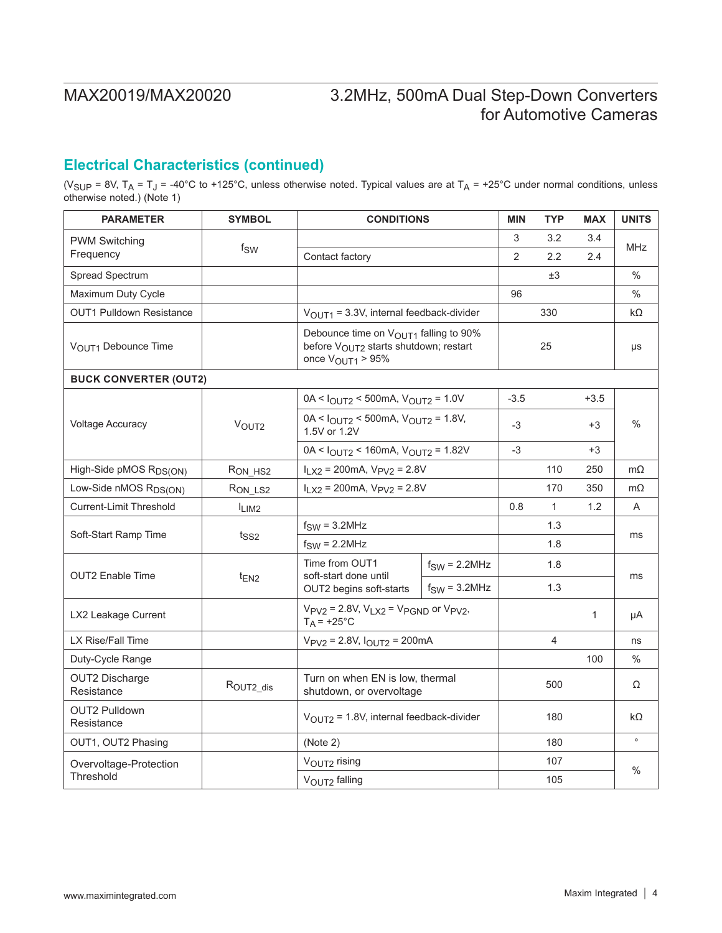## **Electrical Characteristics (continued)**

(V<sub>SUP</sub> = 8V, T<sub>A</sub> = T<sub>J</sub> = -40°C to +125°C, unless otherwise noted. Typical values are at T<sub>A</sub> = +25°C under normal conditions, unless otherwise noted.) (Note 1)

| <b>PARAMETER</b>                    | <b>SYMBOL</b>       | <b>CONDITIONS</b>                                                                                                           |                    | <b>MIN</b> | <b>TYP</b>     | <b>MAX</b> | <b>UNITS</b>  |
|-------------------------------------|---------------------|-----------------------------------------------------------------------------------------------------------------------------|--------------------|------------|----------------|------------|---------------|
| <b>PWM Switching</b>                |                     |                                                                                                                             |                    | 3          | 3.2            | 3.4        | <b>MHz</b>    |
| Frequency                           | fsw                 | Contact factory                                                                                                             |                    | 2          | 2.2            | 2.4        |               |
| Spread Spectrum                     |                     |                                                                                                                             |                    |            | ±3             |            | $\frac{0}{0}$ |
| Maximum Duty Cycle                  |                     |                                                                                                                             |                    | 96         |                |            | $\frac{0}{0}$ |
| <b>OUT1 Pulldown Resistance</b>     |                     | $VOUT1 = 3.3V$ , internal feedback-divider                                                                                  |                    |            | 330            |            | $k\Omega$     |
| VOUT1 Debounce Time                 |                     | Debounce time on VOUT1 falling to 90%<br>before V <sub>OUT2</sub> starts shutdown; restart<br>once $V_{\text{OUT1}} > 95\%$ |                    |            | 25             |            | μs            |
| <b>BUCK CONVERTER (OUT2)</b>        |                     |                                                                                                                             |                    |            |                |            |               |
|                                     |                     | $0A < I_{OUT2} < 500mA$ , $V_{OUT2} = 1.0V$                                                                                 |                    | $-3.5$     |                | $+3.5$     |               |
| <b>Voltage Accuracy</b>             | V <sub>OUT2</sub>   | $0A < I_{OUT2} < 500mA$ , $V_{OUT2} = 1.8V$ ,<br>1.5V or 1.2V                                                               |                    | -3         |                | $+3$       | $\%$          |
|                                     |                     | $0A < I_{OUT2} < 160mA$ , $V_{OUT2} = 1.82V$                                                                                |                    | -3         |                | $+3$       |               |
| High-Side pMOS R <sub>DS(ON)</sub>  | RON HS2             | $I_{LX2}$ = 200mA, $V_{PV2}$ = 2.8V                                                                                         |                    |            | 110            | 250        | $m\Omega$     |
| Low-Side nMOS R <sub>DS(ON)</sub>   | R <sub>ON_LS2</sub> | $I_{LX2}$ = 200mA, $V_{PV2}$ = 2.8V                                                                                         |                    |            | 170            | 350        | $m\Omega$     |
| <b>Current-Limit Threshold</b>      | ILIM2               |                                                                                                                             |                    | 0.8        | $\mathbf{1}$   | 1.2        | A             |
| Soft-Start Ramp Time                | t <sub>SS2</sub>    | $f_{SW} = 3.2 MHz$                                                                                                          |                    |            | 1.3            |            | ms            |
|                                     |                     | $f_{SW} = 2.2 MHz$                                                                                                          |                    |            | 1.8            |            |               |
| <b>OUT2</b> Enable Time             |                     | Time from OUT1                                                                                                              | $f_{SW} = 2.2 MHz$ |            | 1.8            |            |               |
|                                     | $t_{EN2}$           | soft-start done until<br>$f_{SW} = 3.2 MHz$<br>OUT2 begins soft-starts                                                      |                    | 1.3        |                | ms         |               |
| LX2 Leakage Current                 |                     | $V_{PV2}$ = 2.8V, $V_{LX2}$ = $V_{PGND}$ or $V_{PV2}$ ,<br>$T_A$ = +25°C                                                    |                    |            |                | 1          | μA            |
| LX Rise/Fall Time                   |                     | $V_{PV2}$ = 2.8V, $I_{OUT2}$ = 200mA                                                                                        |                    |            | $\overline{4}$ |            | ns            |
| Duty-Cycle Range                    |                     |                                                                                                                             |                    |            |                | 100        | $\frac{0}{0}$ |
| <b>OUT2 Discharge</b><br>Resistance | ROUT2_dis           | Turn on when EN is low, thermal<br>shutdown, or overvoltage                                                                 |                    |            | 500            |            | Ω             |
| <b>OUT2 Pulldown</b><br>Resistance  |                     | $V_{\text{OUT2}}$ = 1.8V, internal feedback-divider                                                                         |                    |            | 180            |            | kΩ            |
| OUT1, OUT2 Phasing                  |                     | (Note 2)                                                                                                                    |                    |            | 180            |            | $\circ$       |
| Overvoltage-Protection              |                     | VOUT2 rising                                                                                                                |                    |            | 107            |            | $\%$          |
| Threshold                           |                     | VOUT2 falling                                                                                                               |                    |            | 105            |            |               |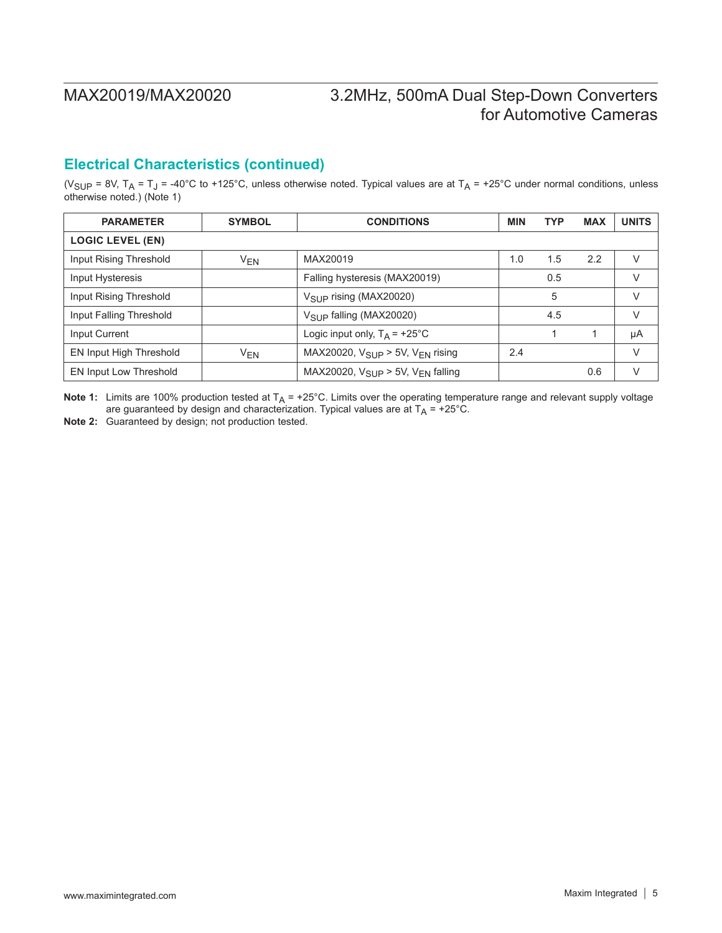## **Electrical Characteristics (continued)**

(V<sub>SUP</sub> = 8V, T<sub>A</sub> = T<sub>J</sub> = -40°C to +125°C, unless otherwise noted. Typical values are at T<sub>A</sub> = +25°C under normal conditions, unless otherwise noted.) (Note 1)

| <b>PARAMETER</b>        | <b>SYMBOL</b>         | <b>CONDITIONS</b>                                       |     | <b>TYP</b> | <b>MAX</b> | <b>UNITS</b> |
|-------------------------|-----------------------|---------------------------------------------------------|-----|------------|------------|--------------|
| <b>LOGIC LEVEL (EN)</b> |                       |                                                         |     |            |            |              |
| Input Rising Threshold  | $V_{EN}$              | MAX20019                                                | 1.0 | 1.5        | 2.2        | V            |
| Input Hysteresis        |                       | Falling hysteresis (MAX20019)                           |     | 0.5        |            | $\vee$       |
| Input Rising Threshold  |                       | $V_{SI}$ p rising (MAX20020)                            |     | 5          |            | $\vee$       |
| Input Falling Threshold |                       | $V_{\text{SUP}}$ falling (MAX20020)                     |     | 4.5        |            | V            |
| Input Current           |                       | Logic input only, $T_A = +25^{\circ}C$                  |     |            |            | μA           |
| EN Input High Threshold | <b>V<sub>EN</sub></b> | MAX20020, $V_{\text{SUP}}$ > 5V, $V_{\text{FN}}$ rising | 2.4 |            |            | $\vee$       |
| EN Input Low Threshold  |                       | MAX20020, $V_{SIIP} > 5V$ , $V_{FN}$ falling            |     |            | 0.6        | $\vee$       |

**Note 1:** Limits are 100% production tested at  $T_A$  = +25°C. Limits over the operating temperature range and relevant supply voltage are guaranteed by design and characterization. Typical values are at  $T_A$  = +25°C.

**Note 2:** Guaranteed by design; not production tested.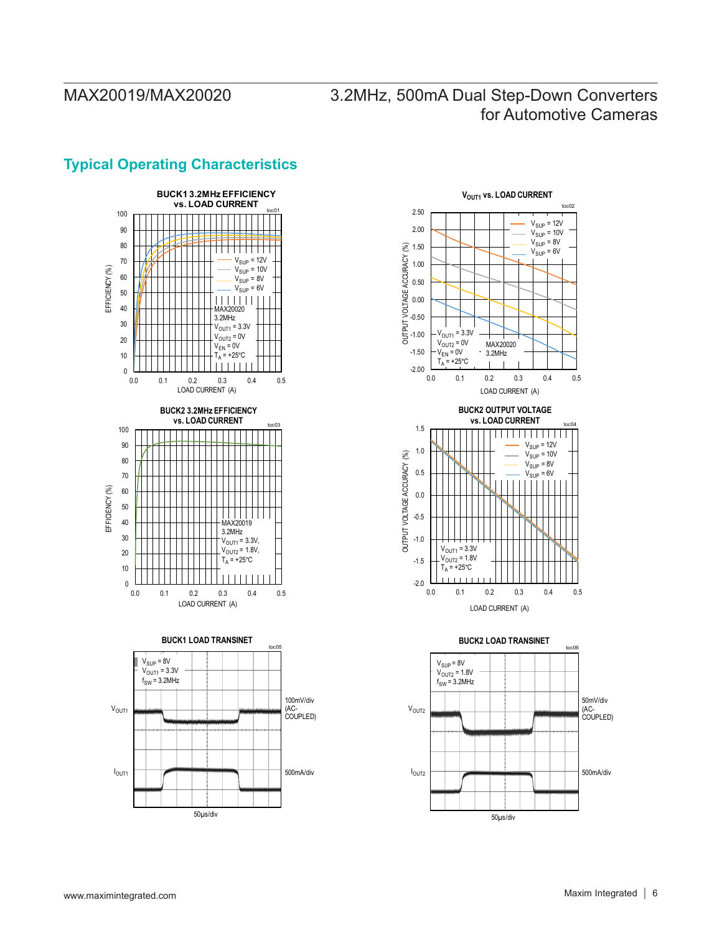### **BUCK1 3.2MHz EFFICIENCY vs. LOAD CURRENT** 100 90 80 <u> I III III II</u> 70  $V_{\text{SUP}} = 12V$  $V_{\text{SUP}} = 10V$ EFFICIENCY (%) EFFICIENCY (%) 60  $V_{\text{SUP}} = 8V$  $V_{SUP} = 6V$ 50  $||||||||||||$ 40 3.2MHz 30  $V_{\text{OUT1}} = 3.3V$  $V_{\text{OUT2}}$  = 0V 20  $V_{EN} = 0V$  $T_{A} = +25^{\circ}C$ 10  $\overline{1}$  $0 -$ <br>0.0 0.0 0.1 0.2 0.3 0.4 0.5 LOAD CURRENT (A) **BUCK2 3.2MHz EFFICIENCY vs. LOAD CURRENT** toc03 100 90 80 70 60 EFFICIENCY (%) EFFICIENCY (%) 50 40 MAX20019 3.2MHz 30  $V_{\text{OUT1}} = 3.3V$  $V_{\text{OUT2}} = 1.8V,$ 20  $T_A = +25$ °C 10  $0$ <br> $0.0$ 0.0 0.1 0.2 0.3 0.4 0.5 LOAD CURRENT (A) **BUCK1 LOAD TRANSINET** toc05  $V_{SUP} = 8V$  $V_{\text{OUT1}} = 3.3V$  ${\sf f}_{\mathsf{SW}}$  = 3.2MHz 100mV/div V<sub>OUT1</sub> (AC-COUPLED) I OUT1 500mA/div

50µs/div

## **Typical Operating Characteristics**



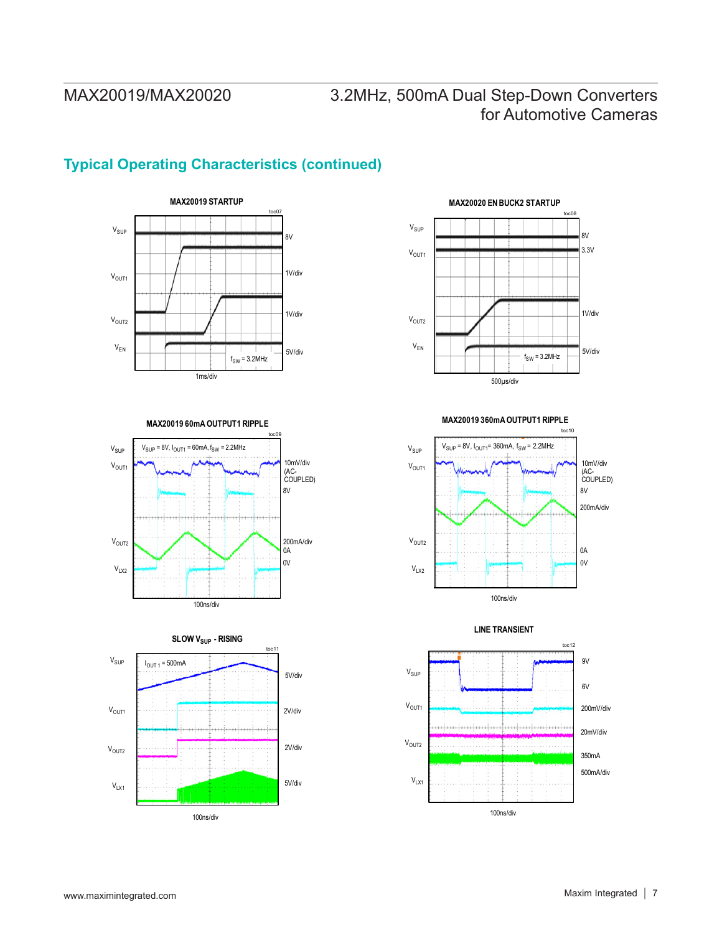# **Typical Operating Characteristics (continued)**

![](_page_6_Figure_3.jpeg)

**MAX20019 60mA OUTPUT1 RIPPLE**

![](_page_6_Figure_5.jpeg)

![](_page_6_Figure_6.jpeg)

![](_page_6_Figure_7.jpeg)

1V/div 5V/div toc08 500µs/div  $V<sub>OUT1</sub>$ V<sub>OUT2</sub>  $V_{\text{SUP}}$  $V_{EN}$ 3.3V 8V  $f_{SW}$  = 3.2MHz

**MAX20020 EN BUCK2 STARTUP**

![](_page_6_Figure_9.jpeg)

**LINE TRANSIENT**

![](_page_6_Figure_11.jpeg)

### **MAX20019 360mA OUTPUT1 RIPPLE**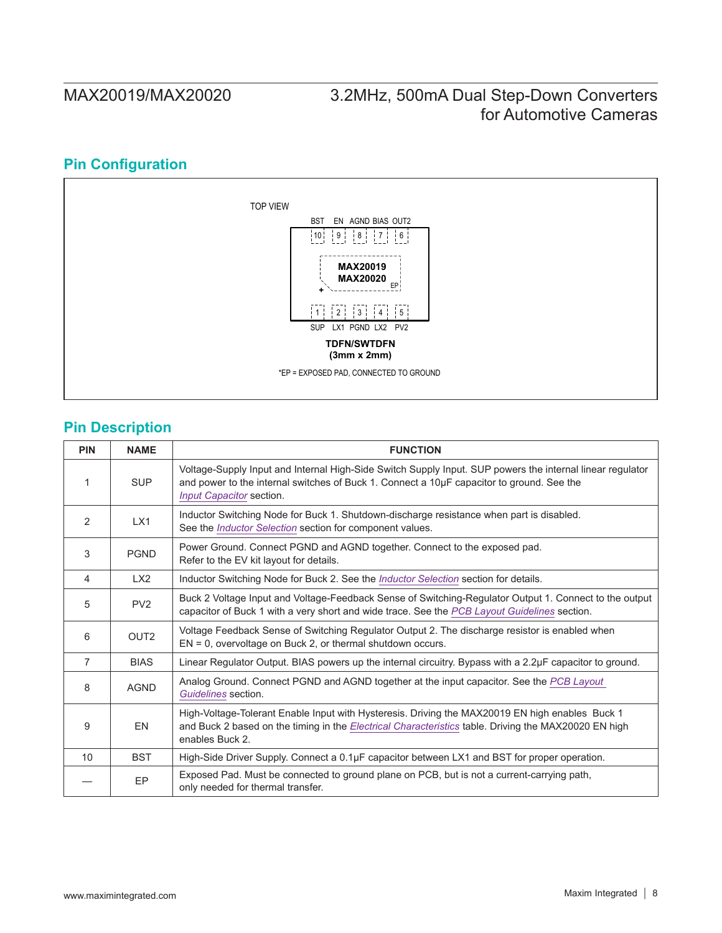# **Pin Configuration**

![](_page_7_Figure_3.jpeg)

## **Pin Description**

| <b>PIN</b>      | <b>NAME</b>      | <b>FUNCTION</b>                                                                                                                                                                                                                    |
|-----------------|------------------|------------------------------------------------------------------------------------------------------------------------------------------------------------------------------------------------------------------------------------|
|                 | <b>SUP</b>       | Voltage-Supply Input and Internal High-Side Switch Supply Input. SUP powers the internal linear regulator<br>and power to the internal switches of Buck 1. Connect a 10µF capacitor to ground. See the<br>Input Capacitor section. |
| 2               | LX1              | Inductor Switching Node for Buck 1. Shutdown-discharge resistance when part is disabled.<br>See the <i>Inductor Selection</i> section for component values.                                                                        |
| 3               | <b>PGND</b>      | Power Ground. Connect PGND and AGND together. Connect to the exposed pad.<br>Refer to the EV kit layout for details.                                                                                                               |
| 4               | LX <sub>2</sub>  | Inductor Switching Node for Buck 2. See the <i>Inductor Selection</i> section for details.                                                                                                                                         |
| 5               | PV <sub>2</sub>  | Buck 2 Voltage Input and Voltage-Feedback Sense of Switching-Regulator Output 1. Connect to the output<br>capacitor of Buck 1 with a very short and wide trace. See the PCB Layout Guidelines section.                             |
| 6               | OUT <sub>2</sub> | Voltage Feedback Sense of Switching Regulator Output 2. The discharge resistor is enabled when<br>$EN = 0$ , overvoltage on Buck 2, or thermal shutdown occurs.                                                                    |
| $\overline{7}$  | <b>BIAS</b>      | Linear Regulator Output. BIAS powers up the internal circuitry. Bypass with a 2.2µF capacitor to ground.                                                                                                                           |
| 8               | <b>AGND</b>      | Analog Ground. Connect PGND and AGND together at the input capacitor. See the PCB Layout<br>Guidelines section.                                                                                                                    |
| 9               | EN               | High-Voltage-Tolerant Enable Input with Hysteresis. Driving the MAX20019 EN high enables Buck 1<br>and Buck 2 based on the timing in the Electrical Characteristics table. Driving the MAX20020 EN high<br>enables Buck 2.         |
| 10 <sup>1</sup> | <b>BST</b>       | High-Side Driver Supply. Connect a 0.1µF capacitor between LX1 and BST for proper operation.                                                                                                                                       |
|                 | EP               | Exposed Pad. Must be connected to ground plane on PCB, but is not a current-carrying path,<br>only needed for thermal transfer.                                                                                                    |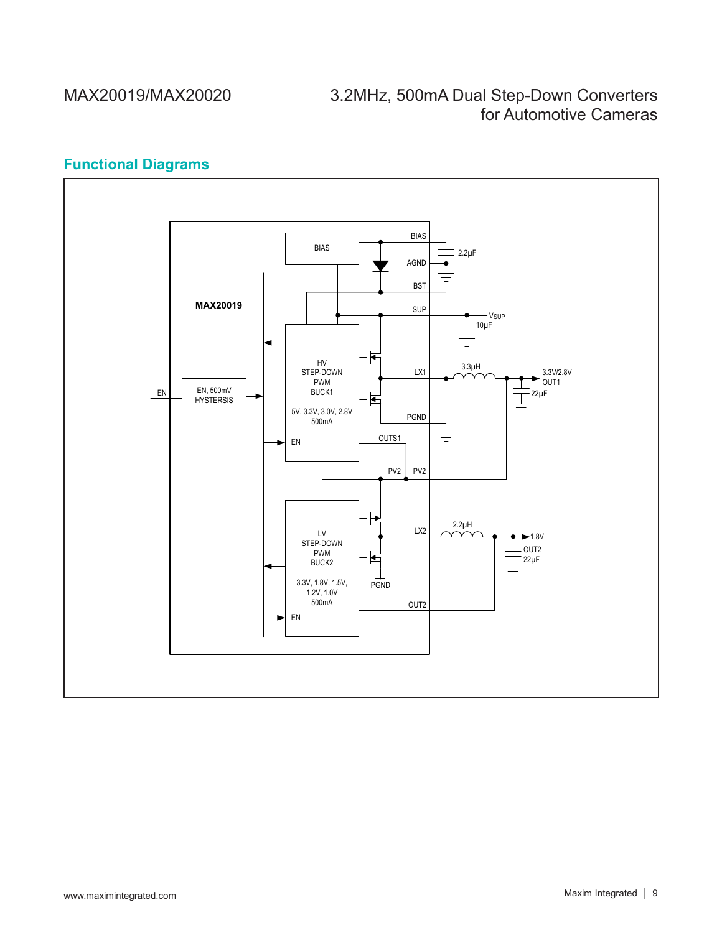# **Functional Diagrams**

![](_page_8_Figure_3.jpeg)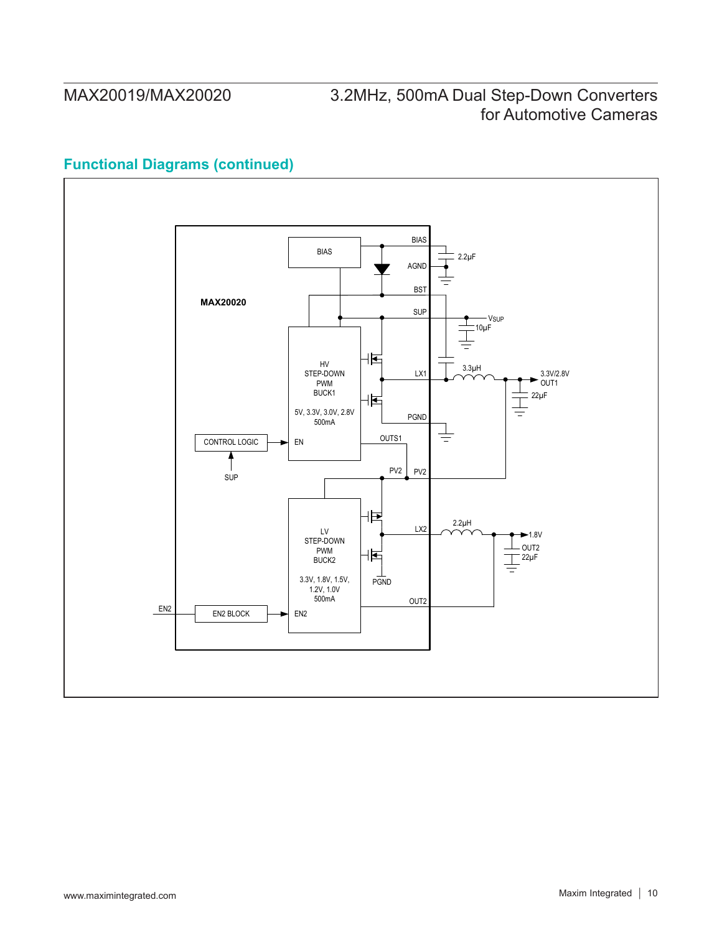# **Functional Diagrams (continued)**

![](_page_9_Figure_3.jpeg)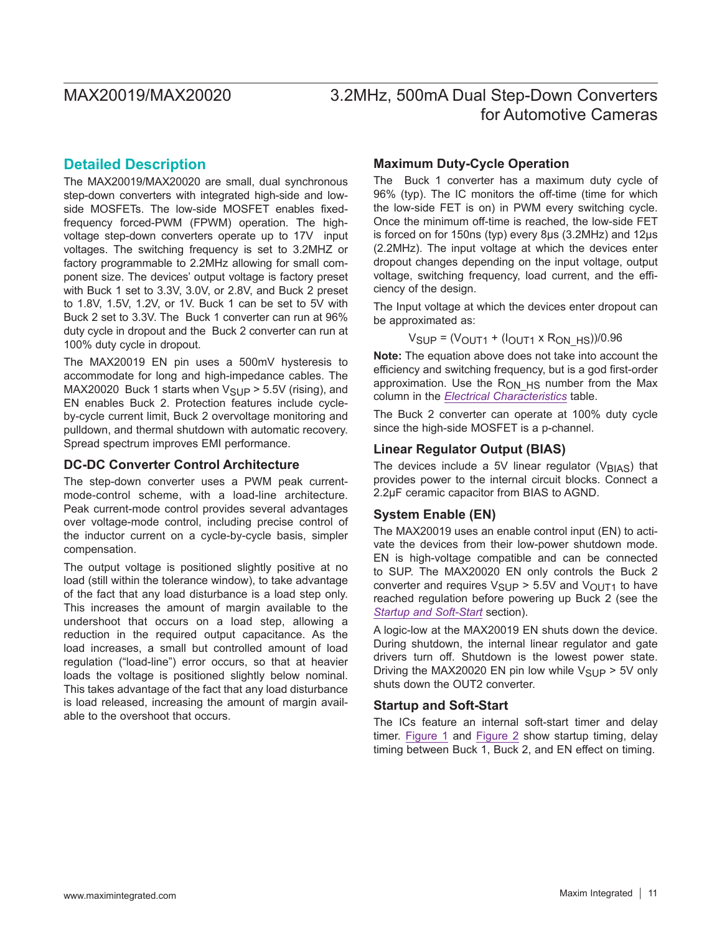### **Detailed Description**

The MAX20019/MAX20020 are small, dual synchronous step-down converters with integrated high-side and lowside MOSFETs. The low-side MOSFET enables fixedfrequency forced-PWM (FPWM) operation. The highvoltage step-down converters operate up to 17V input voltages. The switching frequency is set to 3.2MHZ or factory programmable to 2.2MHz allowing for small component size. The devices' output voltage is factory preset with Buck 1 set to 3.3V, 3.0V, or 2.8V, and Buck 2 preset to 1.8V, 1.5V, 1.2V, or 1V. Buck 1 can be set to 5V with Buck 2 set to 3.3V. The Buck 1 converter can run at 96% duty cycle in dropout and the Buck 2 converter can run at 100% duty cycle in dropout.

The MAX20019 EN pin uses a 500mV hysteresis to accommodate for long and high-impedance cables. The MAX20020 Buck 1 starts when  $V_{\text{SUP}}$  > 5.5V (rising), and EN enables Buck 2. Protection features include cycleby-cycle current limit, Buck 2 overvoltage monitoring and pulldown, and thermal shutdown with automatic recovery. Spread spectrum improves EMI performance.

### **DC-DC Converter Control Architecture**

The step-down converter uses a PWM peak currentmode-control scheme, with a load-line architecture. Peak current-mode control provides several advantages over voltage-mode control, including precise control of the inductor current on a cycle-by-cycle basis, simpler compensation.

The output voltage is positioned slightly positive at no load (still within the tolerance window), to take advantage of the fact that any load disturbance is a load step only. This increases the amount of margin available to the undershoot that occurs on a load step, allowing a reduction in the required output capacitance. As the load increases, a small but controlled amount of load regulation ("load-line") error occurs, so that at heavier loads the voltage is positioned slightly below nominal. This takes advantage of the fact that any load disturbance is load released, increasing the amount of margin available to the overshoot that occurs.

### **Maximum Duty-Cycle Operation**

The Buck 1 converter has a maximum duty cycle of 96% (typ). The IC monitors the off-time (time for which the low-side FET is on) in PWM every switching cycle. Once the minimum off-time is reached, the low-side FET is forced on for 150ns (typ) every 8µs (3.2MHz) and 12µs (2.2MHz). The input voltage at which the devices enter dropout changes depending on the input voltage, output voltage, switching frequency, load current, and the efficiency of the design.

The Input voltage at which the devices enter dropout can be approximated as:

### $V_{\text{SUP}} = (V_{\text{OUT1}} + (I_{\text{OUT1}} \times R_{\text{ON}}) / 0.96)$

**Note:** The equation above does not take into account the efficiency and switching frequency, but is a god first-order approximation. Use the  $R_{ONHS}$  number from the Max column in the *[Electrical Characteristics](#page-2-0)* table.

The Buck 2 converter can operate at 100% duty cycle since the high-side MOSFET is a p-channel.

### **Linear Regulator Output (BIAS)**

The devices include a 5V linear regulator ( $V_{\text{BIAS}}$ ) that provides power to the internal circuit blocks. Connect a 2.2μF ceramic capacitor from BIAS to AGND.

### **System Enable (EN)**

The MAX20019 uses an enable control input (EN) to activate the devices from their low-power shutdown mode. EN is high-voltage compatible and can be connected to SUP. The MAX20020 EN only controls the Buck 2 converter and requires  $V_{\text{SUP}}$  > 5.5V and  $V_{\text{OUT1}}$  to have reached regulation before powering up Buck 2 (see the *[Startup and Soft-Start](#page-10-0)* section).

A logic-low at the MAX20019 EN shuts down the device. During shutdown, the internal linear regulator and gate drivers turn off. Shutdown is the lowest power state. Driving the MAX20020 EN pin low while  $V_{\text{SUP}} > 5V$  only shuts down the OUT2 converter.

### <span id="page-10-0"></span>**Startup and Soft-Start**

The ICs feature an internal soft-start timer and delay timer. [Figure 1](#page-11-0) and [Figure 2](#page-11-1) show startup timing, delay timing between Buck 1, Buck 2, and EN effect on timing.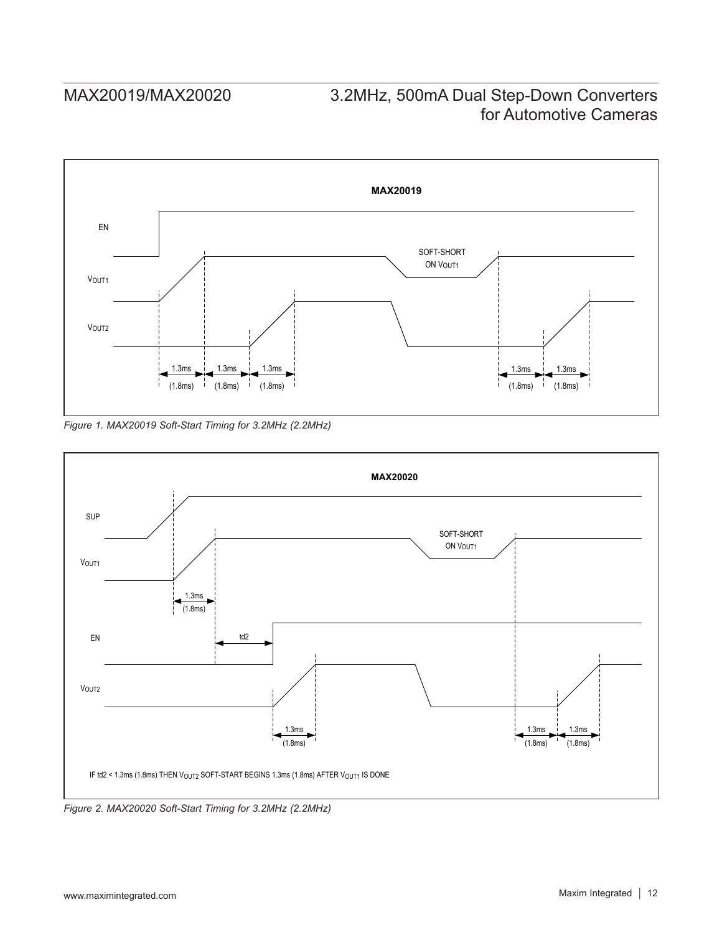<span id="page-11-0"></span>![](_page_11_Figure_2.jpeg)

*Figure 1. MAX20019 Soft-Start Timing for 3.2MHz (2.2MHz)*

<span id="page-11-1"></span>![](_page_11_Figure_4.jpeg)

*Figure 2. MAX20020 Soft-Start Timing for 3.2MHz (2.2MHz)*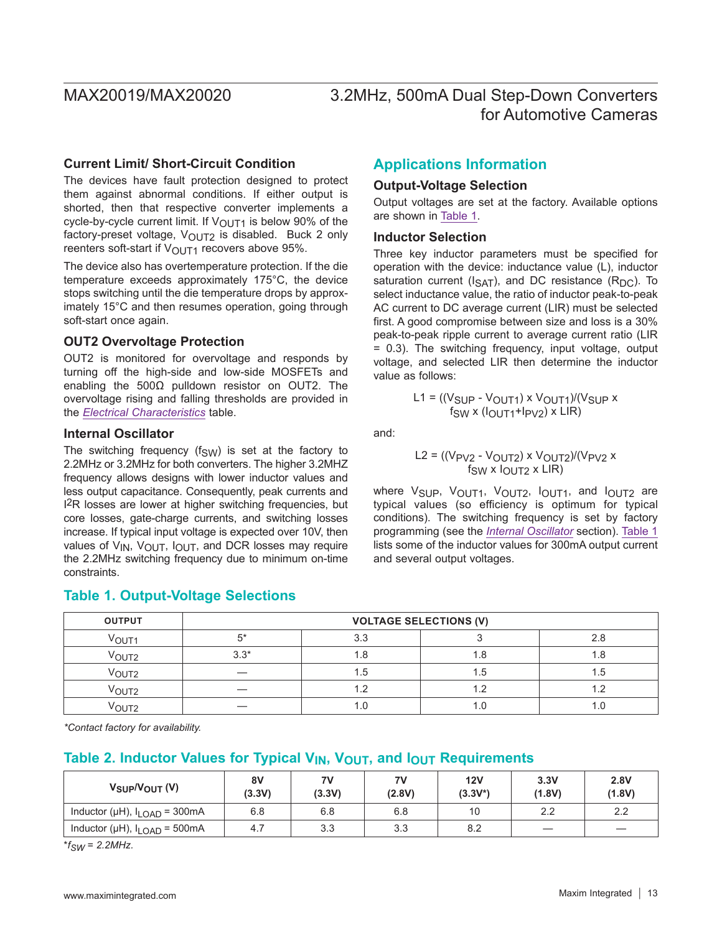### **Current Limit/ Short-Circuit Condition**

The devices have fault protection designed to protect them against abnormal conditions. If either output is shorted, then that respective converter implements a cycle-by-cycle current limit. If  $V_{\text{OUT1}}$  is below 90% of the factory-preset voltage,  $V_{\text{OUT2}}$  is disabled. Buck 2 only reenters soft-start if  $V_{\text{OUT1}}$  recovers above 95%.

The device also has overtemperature protection. If the die temperature exceeds approximately 175°C, the device stops switching until the die temperature drops by approximately 15°C and then resumes operation, going through soft-start once again.

### **OUT2 Overvoltage Protection**

OUT2 is monitored for overvoltage and responds by turning off the high-side and low-side MOSFETs and enabling the 500Ω pulldown resistor on OUT2. The overvoltage rising and falling thresholds are provided in the *[Electrical Characteristics](#page-2-0)* table.

### <span id="page-12-2"></span>**Internal Oscillator**

The switching frequency ( $f_{SW}$ ) is set at the factory to 2.2MHz or 3.2MHz for both converters. The higher 3.2MHZ frequency allows designs with lower inductor values and less output capacitance. Consequently, peak currents and I2R losses are lower at higher switching frequencies, but core losses, gate-charge currents, and switching losses increase. If typical input voltage is expected over 10V, then values of  $V_{IN}$ ,  $V_{OUIT}$ ,  $I_{OUIT}$ , and DCR losses may require the 2.2MHz switching frequency due to minimum on-time constraints.

### <span id="page-12-1"></span>**Table 1. Output-Voltage Selections**

## **Applications Information**

### **Output-Voltage Selection**

Output voltages are set at the factory. Available options are shown in [Table 1.](#page-12-1)

### <span id="page-12-0"></span>**Inductor Selection**

Three key inductor parameters must be specified for operation with the device: inductance value (L), inductor saturation current ( $I_{SAT}$ ), and DC resistance ( $R_{DC}$ ). To select inductance value, the ratio of inductor peak-to-peak AC current to DC average current (LIR) must be selected first. A good compromise between size and loss is a 30% peak-to-peak ripple current to average current ratio (LIR = 0.3). The switching frequency, input voltage, output voltage, and selected LIR then determine the inductor value as follows:

$$
L1 = ((VSUP - VOUT1) × VOUT1)/(VSUP ×fgw × (IOUT1+IPV2) × LIR)
$$

and:

$$
L2 = ((V_{PV2} - V_{OUT2}) \times V_{OUT2})/(V_{PV2} \times V_{SW} \times V_{OUT2} \times LIR)
$$

where V<sub>SUP</sub>, V<sub>OUT1</sub>, V<sub>OUT2</sub>, I<sub>OUT1</sub>, and I<sub>OUT2</sub> are typical values (so efficiency is optimum for typical conditions). The switching frequency is set by factory programming (see the *[Internal Oscillator](#page-12-2)* section). [Table 1](#page-12-1) lists some of the inductor values for 300mA output current and several output voltages.

| <b>OUTPUT</b>     | <b>VOLTAGE SELECTIONS (V)</b> |     |     |      |  |  |  |
|-------------------|-------------------------------|-----|-----|------|--|--|--|
| V <sub>OUT1</sub> | $5*$                          | 3.3 |     |      |  |  |  |
| V <sub>OUT2</sub> | $3.3*$                        |     | 1.8 |      |  |  |  |
| $V_{\rm OUT2}$    |                               | 1.5 | 1.5 | . .ხ |  |  |  |
| Vout2             |                               | 1.2 | 1.2 |      |  |  |  |
| VOUT2             |                               |     | 1.U |      |  |  |  |

*\*Contact factory for availability.*

## Table 2. Inductor Values for Typical V<sub>IN</sub>, V<sub>OUT</sub>, and I<sub>OUT</sub> Requirements

| $V_{\text{SUP}}/V_{\text{OUT}}$ (V)      | 8V<br>(3.3V) | 7V<br>(3.3V) | 7V<br>(2.8V) | 12V<br>$(3.3V^*)$ | 3.3V<br>(1.8V) | 2.8V<br>(1.8V) |
|------------------------------------------|--------------|--------------|--------------|-------------------|----------------|----------------|
| Inductor (µH), $I_{\text{LOAD}}$ = 300mA | 6.8          | 6.8          | 6.8          | 10                | 2.2            | 2.2            |
| Inductor (µH), $I_{\text{LOAD}}$ = 500mA | 4.7          | 3.3          | 3.3          | 8.2               |                |                |

 $*$  $f_{SW}$  = 2.2MHz.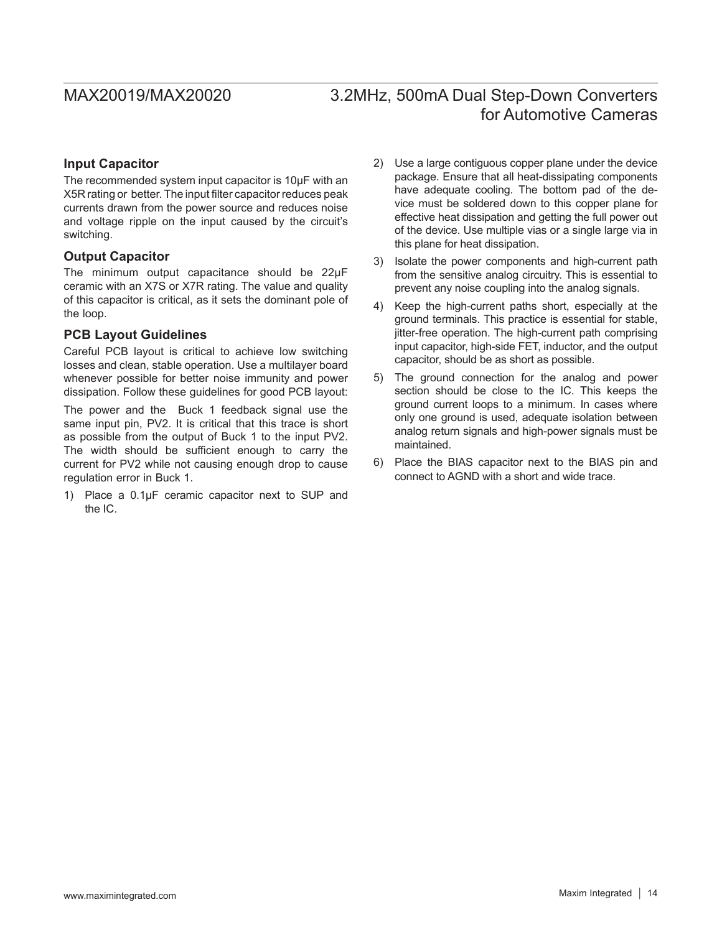### <span id="page-13-0"></span>**Input Capacitor**

The recommended system input capacitor is 10µF with an X5R rating or better. The input filter capacitor reduces peak currents drawn from the power source and reduces noise and voltage ripple on the input caused by the circuit's switching.

### **Output Capacitor**

The minimum output capacitance should be 22µF ceramic with an X7S or X7R rating. The value and quality of this capacitor is critical, as it sets the dominant pole of the loop.

### <span id="page-13-1"></span>**PCB Layout Guidelines**

Careful PCB layout is critical to achieve low switching losses and clean, stable operation. Use a multilayer board whenever possible for better noise immunity and power dissipation. Follow these guidelines for good PCB layout:

The power and the Buck 1 feedback signal use the same input pin, PV2. It is critical that this trace is short as possible from the output of Buck 1 to the input PV2. The width should be sufficient enough to carry the current for PV2 while not causing enough drop to cause regulation error in Buck 1.

1) Place a 0.1µF ceramic capacitor next to SUP and the IC.

- 2) Use a large contiguous copper plane under the device package. Ensure that all heat-dissipating components have adequate cooling. The bottom pad of the device must be soldered down to this copper plane for effective heat dissipation and getting the full power out of the device. Use multiple vias or a single large via in this plane for heat dissipation.
- 3) Isolate the power components and high-current path from the sensitive analog circuitry. This is essential to prevent any noise coupling into the analog signals.
- 4) Keep the high-current paths short, especially at the ground terminals. This practice is essential for stable, jitter-free operation. The high-current path comprising input capacitor, high-side FET, inductor, and the output capacitor, should be as short as possible.
- 5) The ground connection for the analog and power section should be close to the IC. This keeps the ground current loops to a minimum. In cases where only one ground is used, adequate isolation between analog return signals and high-power signals must be maintained.
- 6) Place the BIAS capacitor next to the BIAS pin and connect to AGND with a short and wide trace.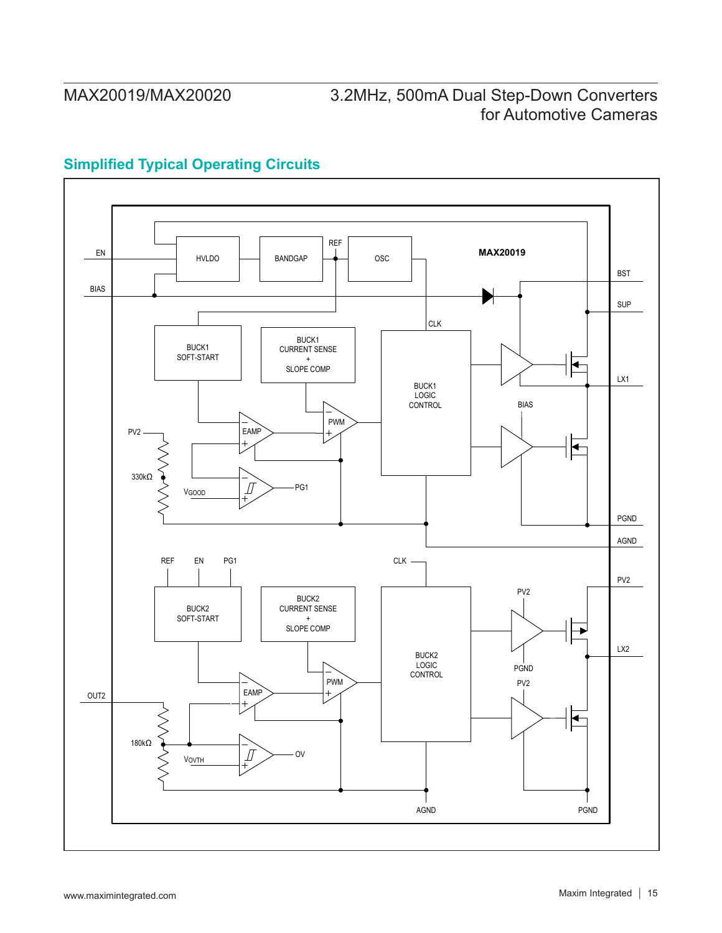# <span id="page-14-0"></span>**Simplified Typical Operating Circuits**

![](_page_14_Figure_3.jpeg)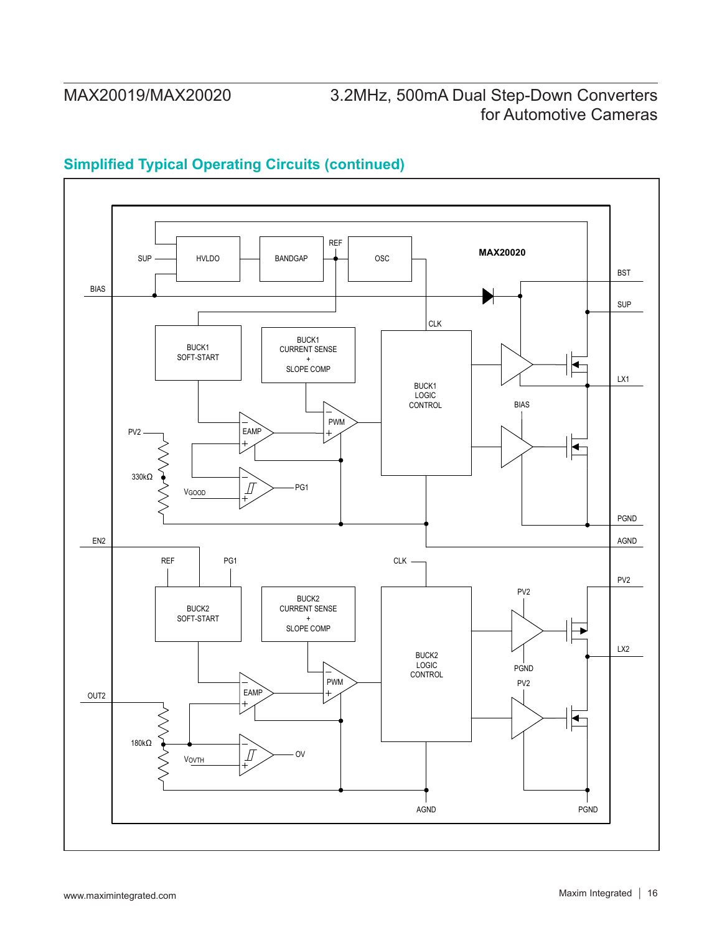## **Simplified Typical Operating Circuits (continued)**

![](_page_15_Figure_3.jpeg)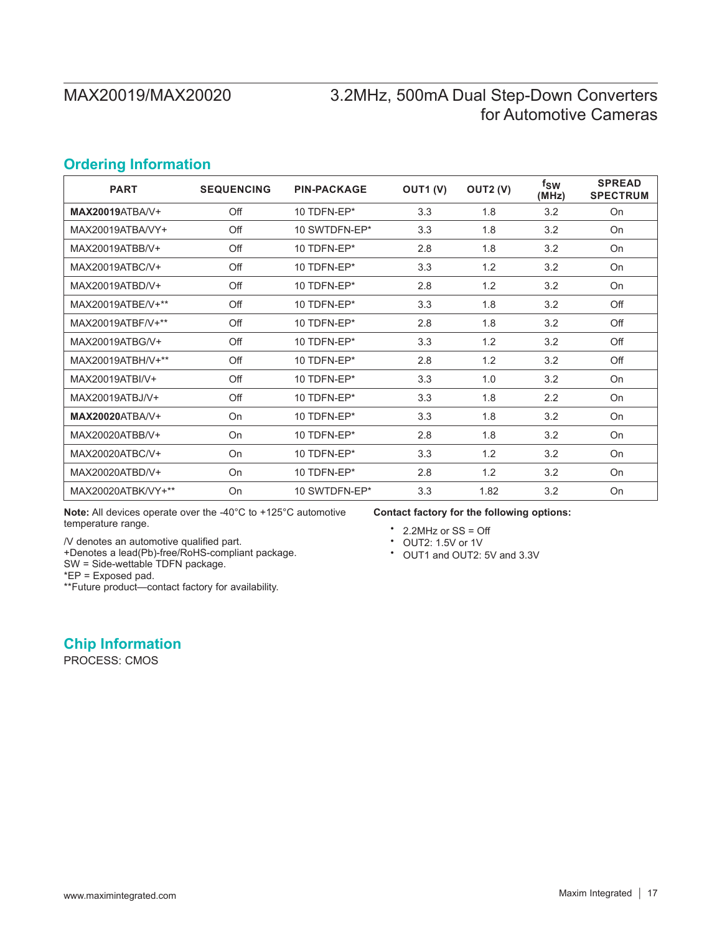## <span id="page-16-0"></span>**Ordering Information**

| <b>PART</b>            | <b>SEQUENCING</b> | <b>PIN-PACKAGE</b> | OUT1 (V) | OUT2 (V) | $f_{SW}$<br>(MHz) | <b>SPREAD</b><br><b>SPECTRUM</b> |
|------------------------|-------------------|--------------------|----------|----------|-------------------|----------------------------------|
| <b>MAX20019ATBA/V+</b> | Off               | 10 TDFN-EP*        | 3.3      | 1.8      | 3.2               | On                               |
| MAX20019ATBA/VY+       | Off               | 10 SWTDFN-EP*      | 3.3      | 1.8      | 3.2               | On                               |
| MAX20019ATBB/V+        | Off               | 10 TDFN-EP*        | 2.8      | 1.8      | 3.2               | On                               |
| MAX20019ATBC/V+        | Off               | 10 TDFN-EP*        | 3.3      | 1.2      | 3.2               | On                               |
| MAX20019ATBD/V+        | Off               | 10 TDFN-EP*        | 2.8      | 1.2      | 3.2               | On                               |
| MAX20019ATBE/V+**      | Off               | 10 TDFN-EP*        | 3.3      | 1.8      | 3.2               | Off                              |
| MAX20019ATBF/V+**      | Off               | 10 TDFN-EP*        | 2.8      | 1.8      | 3.2               | Off                              |
| MAX20019ATBG/V+        | Off               | 10 TDFN-EP*        | 3.3      | 1.2      | 3.2               | Off                              |
| MAX20019ATBH/V+**      | Off               | 10 TDFN-EP*        | 2.8      | 1.2      | 3.2               | Off                              |
| MAX20019ATBI/V+        | Off               | 10 TDFN-EP*        | 3.3      | 1.0      | 3.2               | On                               |
| MAX20019ATBJ/V+        | Off               | 10 TDFN-EP*        | 3.3      | 1.8      | 2.2               | On                               |
| <b>MAX20020ATBA/V+</b> | On                | 10 TDFN-EP*        | 3.3      | 1.8      | 3.2               | On                               |
| MAX20020ATBB/V+        | On                | 10 TDFN-EP*        | 2.8      | 1.8      | 3.2               | On                               |
| MAX20020ATBC/V+        | On                | 10 TDFN-EP*        | 3.3      | 1.2      | 3.2               | On                               |
| MAX20020ATBD/V+        | On                | 10 TDFN-EP*        | 2.8      | 1.2      | 3.2               | On                               |
| MAX20020ATBK/VY+**     | On                | 10 SWTDFN-EP*      | 3.3      | 1.82     | 3.2               | On                               |

**Note:** All devices operate over the -40°C to +125°C automotive temperature range.

/V denotes an automotive qualified part.

+Denotes a lead(Pb)-free/RoHS-compliant package.

SW = Side-wettable TDFN package.

\*EP = Exposed pad.

\*\*Future product—contact factory for availability.

**Chip Information**

PROCESS: CMOS

**Contact factory for the following options:**

- 
- 
- 2.2MHz or SS = Off<br>• OUT2: 1.5V or 1V<br>• OUT1 and OUT2: 5V and 3.3V